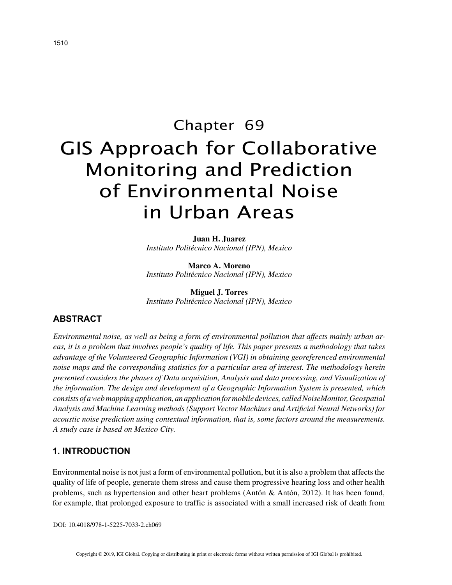# Chapter 69 GIS Approach for Collaborative Monitoring and Prediction of Environmental Noise in Urban Areas

**Juan H. Juarez** *Instituto Politécnico Nacional (IPN), Mexico*

**Marco A. Moreno** *Instituto Politécnico Nacional (IPN), Mexico*

**Miguel J. Torres** *Instituto Politécnico Nacional (IPN), Mexico*

## **ABSTRACT**

*Environmental noise, as well as being a form of environmental pollution that affects mainly urban areas, it is a problem that involves people's quality of life. This paper presents a methodology that takes advantage of the Volunteered Geographic Information (VGI) in obtaining georeferenced environmental noise maps and the corresponding statistics for a particular area of interest. The methodology herein presented considers the phases of Data acquisition, Analysis and data processing, and Visualization of the information. The design and development of a Geographic Information System is presented, which consists of a web mapping application, an application for mobile devices, called NoiseMonitor, Geospatial Analysis and Machine Learning methods (Support Vector Machines and Artificial Neural Networks) for acoustic noise prediction using contextual information, that is, some factors around the measurements. A study case is based on Mexico City.*

## **1. INTRODUCTION**

Environmental noise is not just a form of environmental pollution, but it is also a problem that affects the quality of life of people, generate them stress and cause them progressive hearing loss and other health problems, such as hypertension and other heart problems (Antón & Antón, 2012). It has been found, for example, that prolonged exposure to traffic is associated with a small increased risk of death from

DOI: 10.4018/978-1-5225-7033-2.ch069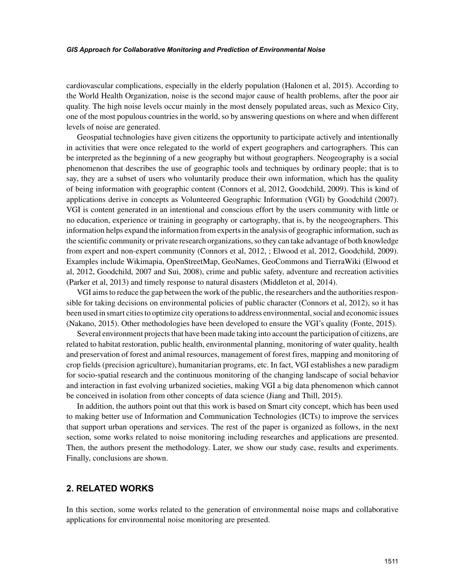#### *GIS Approach for Collaborative Monitoring and Prediction of Environmental Noise*

cardiovascular complications, especially in the elderly population (Halonen et al, 2015). According to the World Health Organization, noise is the second major cause of health problems, after the poor air quality. The high noise levels occur mainly in the most densely populated areas, such as Mexico City, one of the most populous countries in the world, so by answering questions on where and when different levels of noise are generated.

Geospatial technologies have given citizens the opportunity to participate actively and intentionally in activities that were once relegated to the world of expert geographers and cartographers. This can be interpreted as the beginning of a new geography but without geographers. Neogeography is a social phenomenon that describes the use of geographic tools and techniques by ordinary people; that is to say, they are a subset of users who voluntarily produce their own information, which has the quality of being information with geographic content (Connors et al, 2012, Goodchild, 2009). This is kind of applications derive in concepts as Volunteered Geographic Information (VGI) by Goodchild (2007). VGI is content generated in an intentional and conscious effort by the users community with little or no education, experience or training in geography or cartography, that is, by the neogeographers. This information helps expand the information from experts in the analysis of geographic information, such as the scientific community or private research organizations, so they can take advantage of both knowledge from expert and non-expert community (Connors et al, 2012, ; Elwood et al, 2012, Goodchild, 2009). Examples include Wikimapia, OpenStreetMap, GeoNames, GeoCommons and TierraWiki (Elwood et al, 2012, Goodchild, 2007 and Sui, 2008), crime and public safety, adventure and recreation activities (Parker et al, 2013) and timely response to natural disasters (Middleton et al, 2014).

VGI aims to reduce the gap between the work of the public, the researchers and the authorities responsible for taking decisions on environmental policies of public character (Connors et al, 2012), so it has been used in smart cities to optimize city operations to address environmental, social and economic issues (Nakano, 2015). Other methodologies have been developed to ensure the VGI's quality (Fonte, 2015).

Several environment projects that have been made taking into account the participation of citizens, are related to habitat restoration, public health, environmental planning, monitoring of water quality, health and preservation of forest and animal resources, management of forest fires, mapping and monitoring of crop fields (precision agriculture), humanitarian programs, etc. In fact, VGI establishes a new paradigm for socio-spatial research and the continuous monitoring of the changing landscape of social behavior and interaction in fast evolving urbanized societies, making VGI a big data phenomenon which cannot be conceived in isolation from other concepts of data science (Jiang and Thill, 2015).

In addition, the authors point out that this work is based on Smart city concept, which has been used to making better use of Information and Communication Technologies (ICTs) to improve the services that support urban operations and services. The rest of the paper is organized as follows, in the next section, some works related to noise monitoring including researches and applications are presented. Then, the authors present the methodology. Later, we show our study case, results and experiments. Finally, conclusions are shown.

# **2. RELATED WORKS**

In this section, some works related to the generation of environmental noise maps and collaborative applications for environmental noise monitoring are presented.